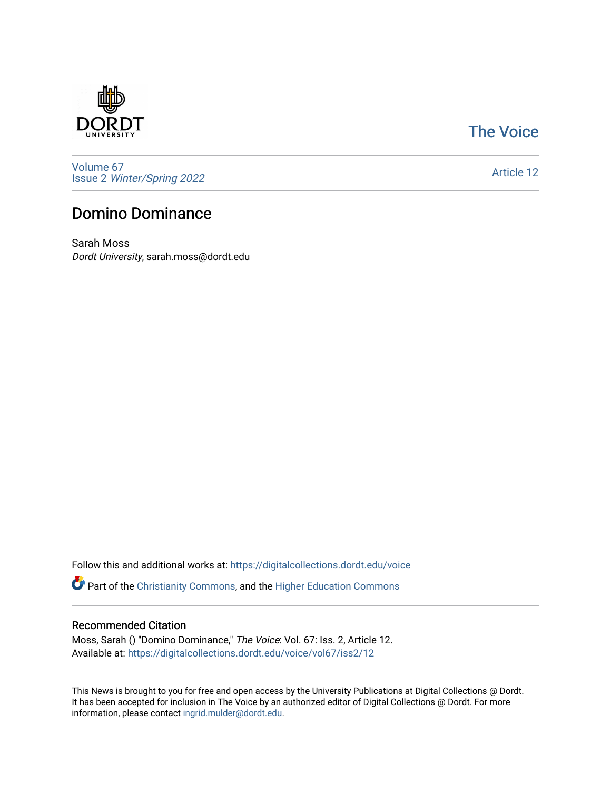

## [The Voice](https://digitalcollections.dordt.edu/voice)

[Volume 67](https://digitalcollections.dordt.edu/voice/vol67) Issue 2 [Winter/Spring 2022](https://digitalcollections.dordt.edu/voice/vol67/iss2) 

[Article 12](https://digitalcollections.dordt.edu/voice/vol67/iss2/12) 

## Domino Dominance

Sarah Moss Dordt University, sarah.moss@dordt.edu

Follow this and additional works at: [https://digitalcollections.dordt.edu/voice](https://digitalcollections.dordt.edu/voice?utm_source=digitalcollections.dordt.edu%2Fvoice%2Fvol67%2Fiss2%2F12&utm_medium=PDF&utm_campaign=PDFCoverPages) 

Part of the [Christianity Commons,](http://network.bepress.com/hgg/discipline/1181?utm_source=digitalcollections.dordt.edu%2Fvoice%2Fvol67%2Fiss2%2F12&utm_medium=PDF&utm_campaign=PDFCoverPages) and the [Higher Education Commons](http://network.bepress.com/hgg/discipline/1245?utm_source=digitalcollections.dordt.edu%2Fvoice%2Fvol67%2Fiss2%2F12&utm_medium=PDF&utm_campaign=PDFCoverPages) 

#### Recommended Citation

Moss, Sarah () "Domino Dominance," The Voice: Vol. 67: Iss. 2, Article 12. Available at: [https://digitalcollections.dordt.edu/voice/vol67/iss2/12](https://digitalcollections.dordt.edu/voice/vol67/iss2/12?utm_source=digitalcollections.dordt.edu%2Fvoice%2Fvol67%2Fiss2%2F12&utm_medium=PDF&utm_campaign=PDFCoverPages)

This News is brought to you for free and open access by the University Publications at Digital Collections @ Dordt. It has been accepted for inclusion in The Voice by an authorized editor of Digital Collections @ Dordt. For more information, please contact [ingrid.mulder@dordt.edu.](mailto:ingrid.mulder@dordt.edu)